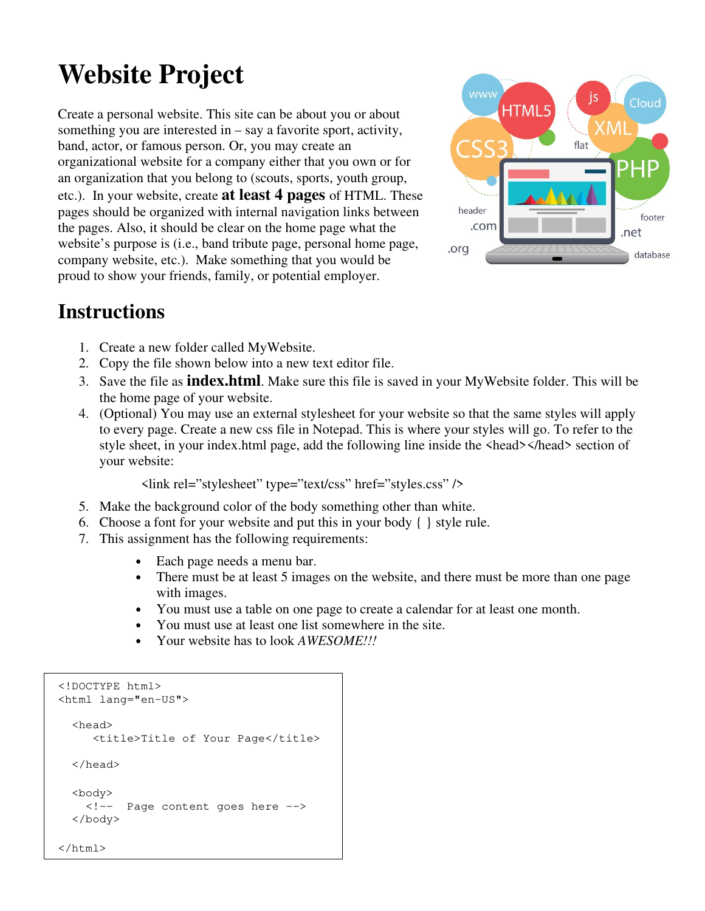# **Website Project**

Create a personal website. This site can be about you or about something you are interested in – say a favorite sport, activity, band, actor, or famous person. Or, you may create an organizational website for a company either that you own or for an organization that you belong to (scouts, sports, youth group, etc.). In your website, create **at least 4 pages** of HTML. These pages should be organized with internal navigation links between the pages. Also, it should be clear on the home page what the website's purpose is (i.e., band tribute page, personal home page, company website, etc.). Make something that you would be proud to show your friends, family, or potential employer.



## **Instructions**

- 1. Create a new folder called MyWebsite.
- 2. Copy the file shown below into a new text editor file.
- 3. Save the file as **index.html**. Make sure this file is saved in your MyWebsite folder. This will be the home page of your website.
- 4. (Optional) You may use an external stylesheet for your website so that the same styles will apply to every page. Create a new css file in Notepad. This is where your styles will go. To refer to the style sheet, in your index.html page, add the following line inside the <head></head> section of your website:

<link rel="stylesheet" type="text/css" href="styles.css" />

- 5. Make the background color of the body something other than white.
- 6. Choose a font for your website and put this in your body { } style rule.
- 7. This assignment has the following requirements:
	- Each page needs a menu bar.
	- There must be at least 5 images on the website, and there must be more than one page with images.
	- You must use a table on one page to create a calendar for at least one month.
	- You must use at least one list somewhere in the site.
	- Your website has to look *AWESOME!!!*

```
<!DOCTYPE html> 
<html lang="en-US"> 
   <head> 
      <title>Title of Your Page</title> 
   </head> 
   <body>
     <!-- Page content goes here -->
   </body>
</html>
```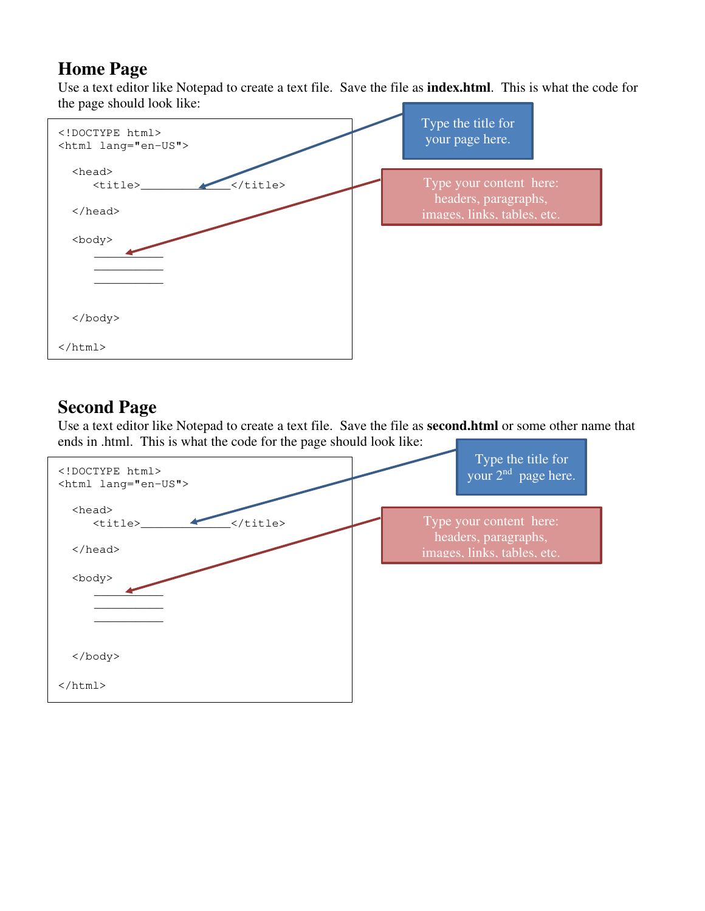### **Home Page**

Use a text editor like Notepad to create a text file. Save the file as **index.html**. This is what the code for the page should look like:



## **Second Page**

Use a text editor like Notepad to create a text file. Save the file as **second.html** or some other name that ends in .html. This is what the code for the page should look like:

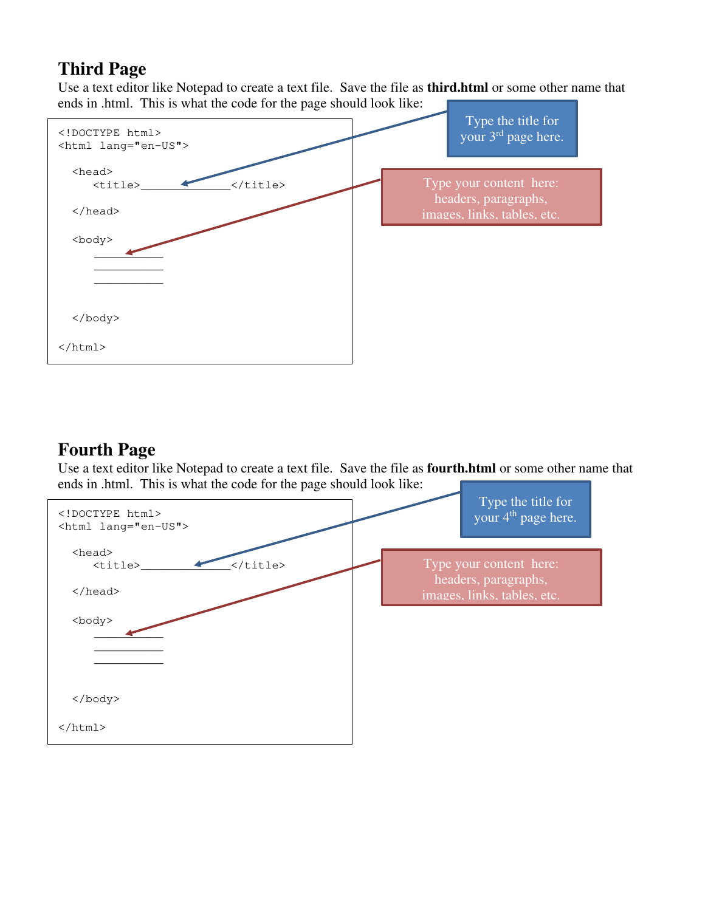## **Third Page**

Use a text editor like Notepad to create a text file. Save the file as **third.html** or some other name that ends in .html. This is what the code for the page should look like:



#### **Fourth Page**

Use a text editor like Notepad to create a text file. Save the file as **fourth.html** or some other name that ends in .html. This is what the code for the page should look like:

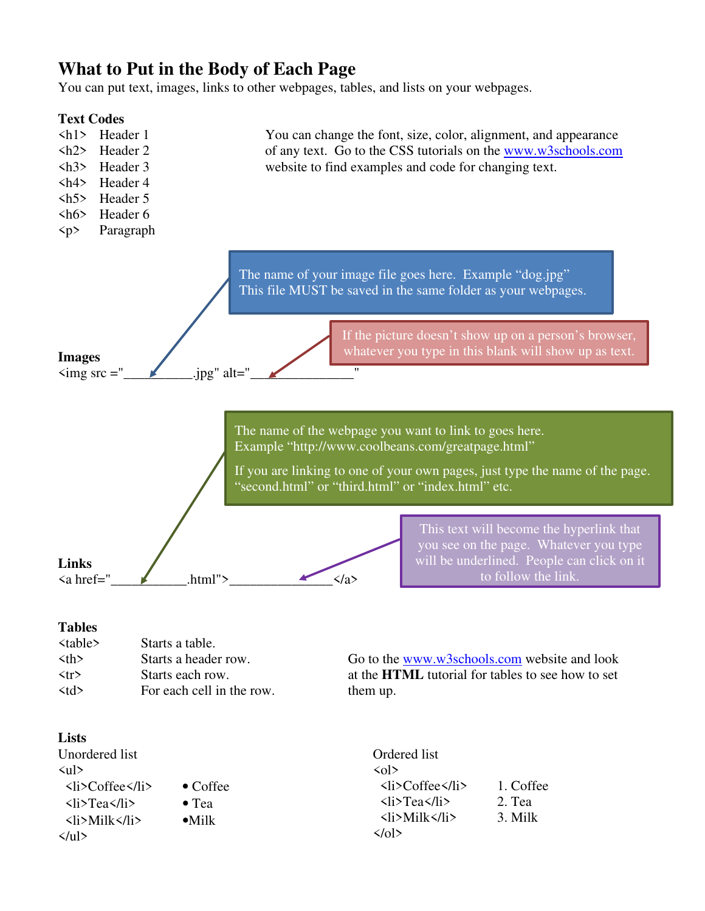#### **What to Put in the Body of Each Page**

You can put text, images, links to other webpages, tables, and lists on your webpages.



#### **Tables**

| <table></table>      | Starts a table.           |                                                          |
|----------------------|---------------------------|----------------------------------------------------------|
| $\langle th \rangle$ | Starts a header row.      | Go to the www.w3schools.com website and look             |
| $\langle tr \rangle$ | Starts each row.          | at the <b>HTML</b> tutorial for tables to see how to set |
| $<$ td>              | For each cell in the row. | them up.                                                 |

#### **Lists**

Unordered list  $\langle$ ul> <li>Coffee</li> • Coffee  $\langle$ li>Tea $\langle$ li> • Tea <li>Milk</li> •Milk  $\langle$ /ul> Ordered list  $\langle$ ol $\rangle$  <li>Coffee</li> 1. Coffee  $\langle$ li>Tea $\langle$ li> 2. Tea  $\langle$ li>Milk $\langle$ /li> 3. Milk  $\langle \text{obs} \rangle$